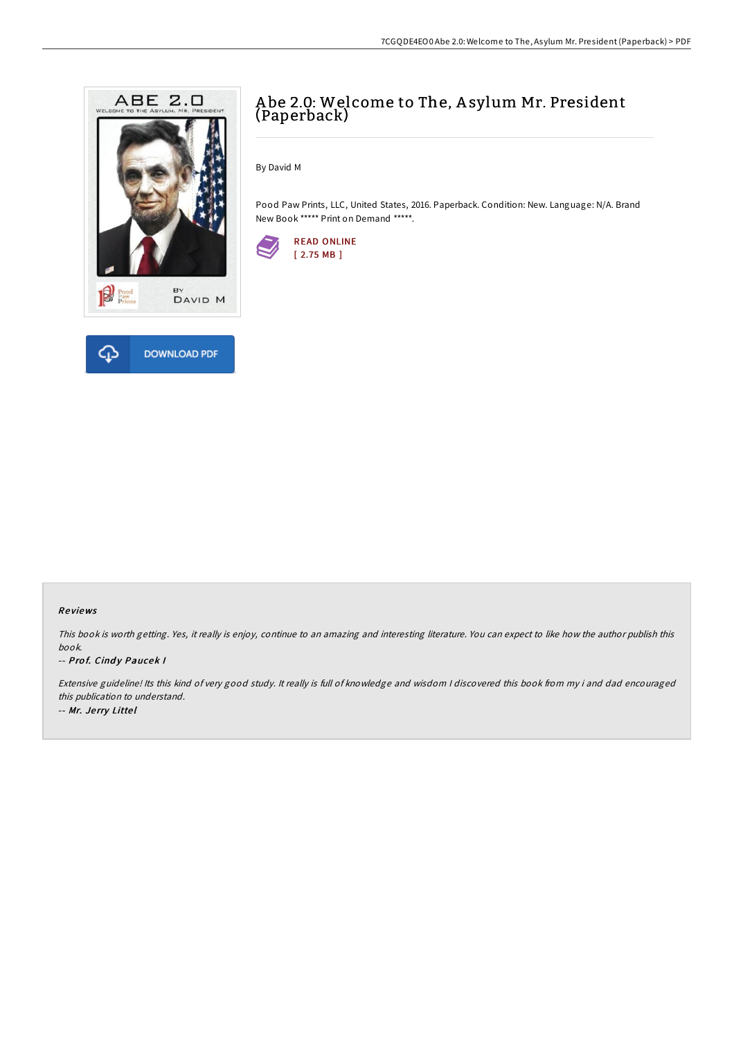

# A be 2.0: Welcome to The, A sylum Mr. President (Paperback)

By David M

Pood Paw Prints, LLC, United States, 2016. Paperback. Condition: New. Language: N/A. Brand New Book \*\*\*\*\* Print on Demand \*\*\*\*\*.



### Re views

This book is worth getting. Yes, it really is enjoy, continue to an amazing and interesting literature. You can expect to like how the author publish this book.

#### -- Prof. Cindy Paucek I

Extensive guideline! Its this kind of very good study. It really is full of knowledge and wisdom <sup>I</sup> discovered this book from my i and dad encouraged this publication to understand. -- Mr. Je rry Litte l